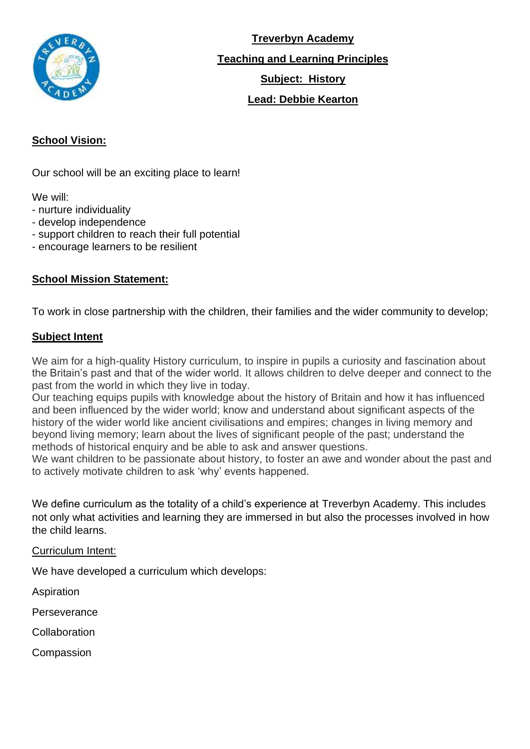

**Treverbyn Academy Teaching and Learning Principles Subject: History Lead: Debbie Kearton**

## **School Vision:**

Our school will be an exciting place to learn!

We will:

- nurture individuality
- develop independence
- support children to reach their full potential
- encourage learners to be resilient

## **School Mission Statement:**

To work in close partnership with the children, their families and the wider community to develop;

#### **Subject Intent**

We aim for a high-quality History curriculum, to inspire in pupils a curiosity and fascination about the Britain's past and that of the wider world. It allows children to delve deeper and connect to the past from the world in which they live in today.

Our teaching equips pupils with knowledge about the history of Britain and how it has influenced and been influenced by the wider world; know and understand about significant aspects of the history of the wider world like ancient civilisations and empires; changes in living memory and beyond living memory; learn about the lives of significant people of the past; understand the methods of historical enquiry and be able to ask and answer questions.

We want children to be passionate about history, to foster an awe and wonder about the past and to actively motivate children to ask 'why' events happened.

We define curriculum as the totality of a child's experience at Treverbyn Academy. This includes not only what activities and learning they are immersed in but also the processes involved in how the child learns.

#### Curriculum Intent:

We have developed a curriculum which develops:

Aspiration

**Perseverance** 

**Collaboration** 

Compassion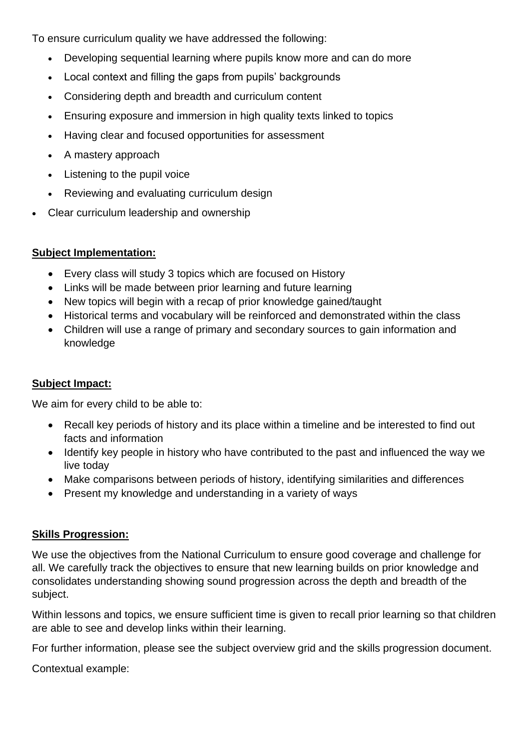To ensure curriculum quality we have addressed the following:

- Developing sequential learning where pupils know more and can do more
- Local context and filling the gaps from pupils' backgrounds
- Considering depth and breadth and curriculum content
- Ensuring exposure and immersion in high quality texts linked to topics
- Having clear and focused opportunities for assessment
- A mastery approach
- Listening to the pupil voice
- Reviewing and evaluating curriculum design
- Clear curriculum leadership and ownership

### **Subject Implementation:**

- Every class will study 3 topics which are focused on History
- Links will be made between prior learning and future learning
- New topics will begin with a recap of prior knowledge gained/taught
- Historical terms and vocabulary will be reinforced and demonstrated within the class
- Children will use a range of primary and secondary sources to gain information and knowledge

### **Subject Impact:**

We aim for every child to be able to:

- Recall key periods of history and its place within a timeline and be interested to find out facts and information
- Identify key people in history who have contributed to the past and influenced the way we live today
- Make comparisons between periods of history, identifying similarities and differences
- Present my knowledge and understanding in a variety of ways

### **Skills Progression:**

We use the objectives from the National Curriculum to ensure good coverage and challenge for all. We carefully track the objectives to ensure that new learning builds on prior knowledge and consolidates understanding showing sound progression across the depth and breadth of the subject.

Within lessons and topics, we ensure sufficient time is given to recall prior learning so that children are able to see and develop links within their learning.

For further information, please see the subject overview grid and the skills progression document.

Contextual example: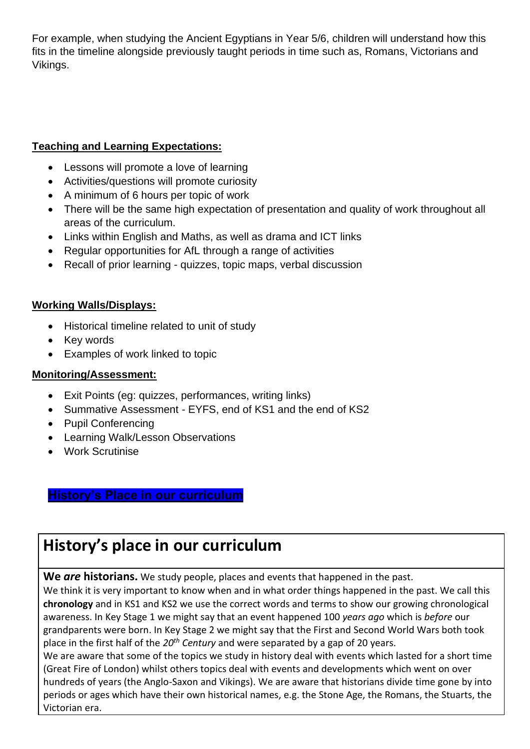For example, when studying the Ancient Egyptians in Year 5/6, children will understand how this fits in the timeline alongside previously taught periods in time such as, Romans, Victorians and Vikings.

## **Teaching and Learning Expectations:**

- Lessons will promote a love of learning
- Activities/questions will promote curiosity
- A minimum of 6 hours per topic of work
- There will be the same high expectation of presentation and quality of work throughout all areas of the curriculum.
- Links within English and Maths, as well as drama and ICT links
- Regular opportunities for AfL through a range of activities
- Recall of prior learning quizzes, topic maps, verbal discussion

### **Working Walls/Displays:**

- Historical timeline related to unit of study
- Key words
- Examples of work linked to topic

### **Monitoring/Assessment:**

- Exit Points (eg: quizzes, performances, writing links)
- Summative Assessment EYFS, end of KS1 and the end of KS2
- Pupil Conferencing
- Learning Walk/Lesson Observations
- Work Scrutinise

## **History's Place in our curriculum**

# **History's place in our curriculum**

**We** *are* **historians.** We study people, places and events that happened in the past.

We think it is very important to know when and in what order things happened in the past. We call this **chronology** and in KS1 and KS2 we use the correct words and terms to show our growing chronological awareness. In Key Stage 1 we might say that an event happened 100 *years ago* which is *before* our grandparents were born. In Key Stage 2 we might say that the First and Second World Wars both took place in the first half of the *20th Century* and were separated by a gap of 20 years.

We are aware that some of the topics we study in history deal with events which lasted for a short time (Great Fire of London) whilst others topics deal with events and developments which went on over hundreds of years (the Anglo-Saxon and Vikings). We are aware that historians divide time gone by into periods or ages which have their own historical names, e.g. the Stone Age, the Romans, the Stuarts, the Victorian era.